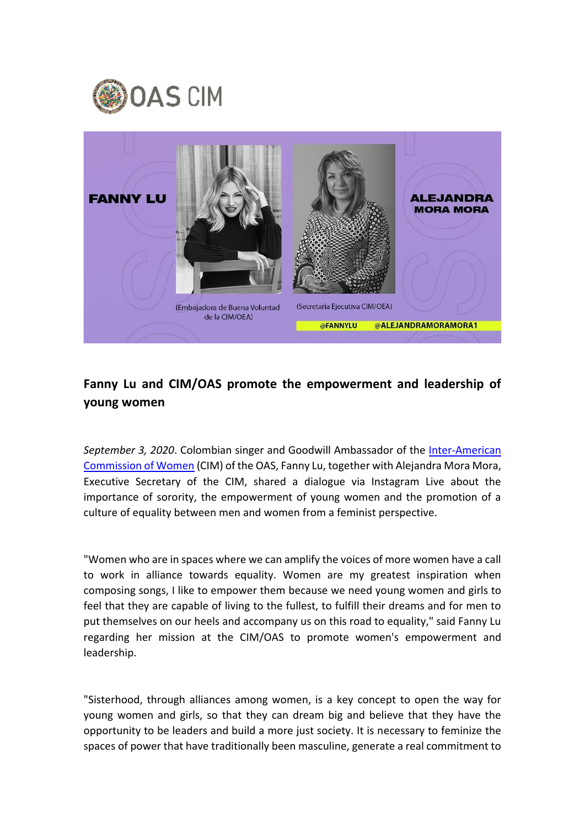



## **Fanny Lu and CIM/OAS promote the empowerment and leadership of young women**

*September 3, 2020*. Colombian singer and Goodwill Ambassador of the *Inter-American* [Commission of Women](http://www.oas.org/en/cim/default.asp) (CIM) of the OAS, Fanny Lu, together with Alejandra Mora Mora, Executive Secretary of the CIM, shared a dialogue via Instagram Live about the importance of sorority, the empowerment of young women and the promotion of a culture of equality between men and women from a feminist perspective.

"Women who are in spaces where we can amplify the voices of more women have a call to work in alliance towards equality. Women are my greatest inspiration when composing songs, I like to empower them because we need young women and girls to feel that they are capable of living to the fullest, to fulfill their dreams and for men to put themselves on our heels and accompany us on this road to equality," said Fanny Lu regarding her mission at the CIM/OAS to promote women's empowerment and leadership.

"Sisterhood, through alliances among women, is a key concept to open the way for young women and girls, so that they can dream big and believe that they have the opportunity to be leaders and build a more just society. It is necessary to feminize the spaces of power that have traditionally been masculine, generate a real commitment to